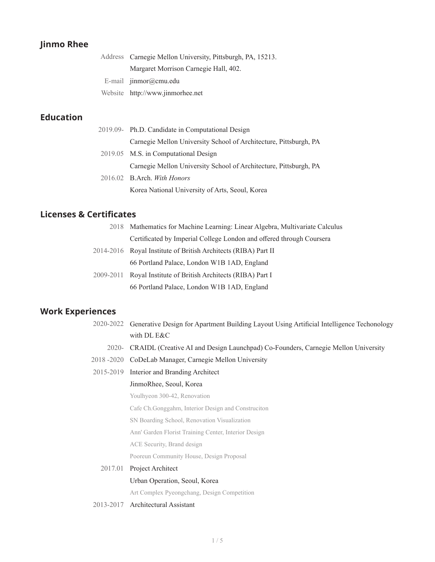## **Jinmo Rhee**

| Address Carnegie Mellon University, Pittsburgh, PA, 15213. |  |  |
|------------------------------------------------------------|--|--|
| Margaret Morrison Carnegie Hall, 402.                      |  |  |
| E-mail $\lim_{n \to \infty}$ inmor $(a)$ cmu.edu           |  |  |
| Website http://www.jinmorhee.net                           |  |  |

## **Education**

| 2019.09- Ph.D. Candidate in Computational Design                  |
|-------------------------------------------------------------------|
| Carnegie Mellon University School of Architecture, Pittsburgh, PA |
| 2019.05 M.S. in Computational Design                              |
| Carnegie Mellon University School of Architecture, Pittsburgh, PA |
| 2016.02 B.Arch. With Honors                                       |
| Korea National University of Arts, Seoul, Korea                   |

## **Licenses & Certificates**

|           | 2018 Mathematics for Machine Learning: Linear Algebra, Multivariate Calculus |
|-----------|------------------------------------------------------------------------------|
|           | Certificated by Imperial College London and offered through Coursera         |
|           | 2014-2016 Royal Institute of British Architects (RIBA) Part II               |
|           | 66 Portland Palace, London W1B 1AD, England                                  |
| 2009-2011 | Royal Institute of British Architects (RIBA) Part I                          |
|           | 66 Portland Palace, London W1B 1AD, England                                  |

## **Work Experiences**

| 2020-2022 Generative Design for Apartment Building Layout Using Artificial Intelligence Techonology                                                                                                                                                                                                                                                                                                                                                                                    |
|----------------------------------------------------------------------------------------------------------------------------------------------------------------------------------------------------------------------------------------------------------------------------------------------------------------------------------------------------------------------------------------------------------------------------------------------------------------------------------------|
| with DL E&C                                                                                                                                                                                                                                                                                                                                                                                                                                                                            |
| 2020- CRAIDL (Creative AI and Design Launchpad) Co-Founders, Carnegie Mellon University                                                                                                                                                                                                                                                                                                                                                                                                |
| $\mathcal{L} \cap \mathcal{L} \cap \mathcal{L} \cap \mathcal{L} \cap \mathcal{L} \cap \mathcal{L} \cap \mathcal{L} \cap \mathcal{L} \cap \mathcal{L} \cap \mathcal{L} \cap \mathcal{L} \cap \mathcal{L} \cap \mathcal{L} \cap \mathcal{L} \cap \mathcal{L} \cap \mathcal{L} \cap \mathcal{L} \cap \mathcal{L} \cap \mathcal{L} \cap \mathcal{L} \cap \mathcal{L} \cap \mathcal{L} \cap \mathcal{L} \cap \mathcal{L} \cap \mathcal{L} \cap \mathcal{L} \cap \mathcal{L} \cap \mathcal{$ |

- 2018 -2020 CoDeLab Manager, Carnegie Mellon University
- 2015-2019 Interior and Branding Architect

#### JinmoRhee, Seoul, Korea

Youlhyeon 300-42, Renovation

Cafe Ch.Gonggahm, Interior Design and Construciton

SN Boarding School, Renovation Visualization

Ann' Garden Florist Training Center, Interior Design

ACE Security, Brand design

Pooreun Community House, Design Proposal

2017.01 Project Architect Urban Operation, Seoul, Korea

Art Complex Pyeongchang, Design Competition

2013-2017 Architectural Assistant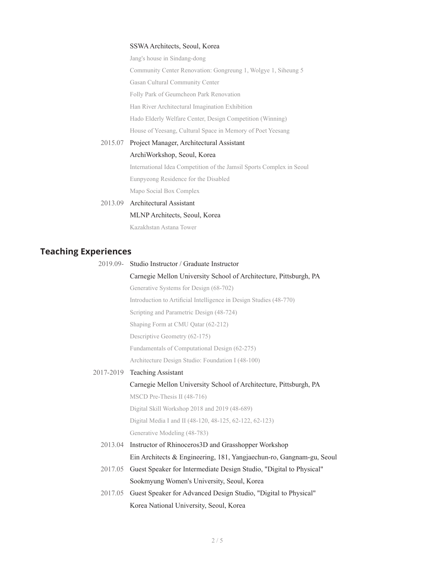#### SSWA Architects, Seoul, Korea

Jang's house in Sindang-dong Community Center Renovation: Gongreung 1, Wolgye 1, Siheung 5 Gasan Cultural Community Center Folly Park of Geumcheon Park Renovation Han River Architectural Imagination Exhibition Hado Elderly Welfare Center, Design Competition (Winning) House of Yeesang, Cultural Space in Memory of Poet Yeesang 2015.07 Project Manager, Architectural Assistant ArchiWorkshop, Seoul, Korea

> International Idea Competition of the Jamsil Sports Complex in Seoul Eunpyeong Residence for the Disabled Mapo Social Box Complex

## 2013.09 Architectural Assistant MLNP Architects, Seoul, Korea Kazakhstan Astana Tower

## **Teaching Experiences**

|           | 2019.09- Studio Instructor / Graduate Instructor                     |  |  |
|-----------|----------------------------------------------------------------------|--|--|
|           | Carnegie Mellon University School of Architecture, Pittsburgh, PA    |  |  |
|           | Generative Systems for Design (68-702)                               |  |  |
|           | Introduction to Artificial Intelligence in Design Studies (48-770)   |  |  |
|           | Scripting and Parametric Design (48-724)                             |  |  |
|           | Shaping Form at CMU Qatar (62-212)                                   |  |  |
|           | Descriptive Geometry (62-175)                                        |  |  |
|           | Fundamentals of Computational Design (62-275)                        |  |  |
|           | Architecture Design Studio: Foundation I (48-100)                    |  |  |
| 2017-2019 | <b>Teaching Assistant</b>                                            |  |  |
|           | Carnegie Mellon University School of Architecture, Pittsburgh, PA    |  |  |
|           | MSCD Pre-Thesis II (48-716)                                          |  |  |
|           | Digital Skill Workshop 2018 and 2019 (48-689)                        |  |  |
|           | Digital Media I and II (48-120, 48-125, 62-122, 62-123)              |  |  |
|           | Generative Modeling (48-783)                                         |  |  |
| 2013.04   | Instructor of Rhinoceros3D and Grasshopper Workshop                  |  |  |
|           | Ein Architects & Engineering, 181, Yangjaechun-ro, Gangnam-gu, Seoul |  |  |
| 2017.05   | Guest Speaker for Intermediate Design Studio, "Digital to Physical"  |  |  |
|           | Sookmyung Women's University, Seoul, Korea                           |  |  |
| 2017.05   | Guest Speaker for Advanced Design Studio, "Digital to Physical"      |  |  |
|           | Korea National University, Seoul, Korea                              |  |  |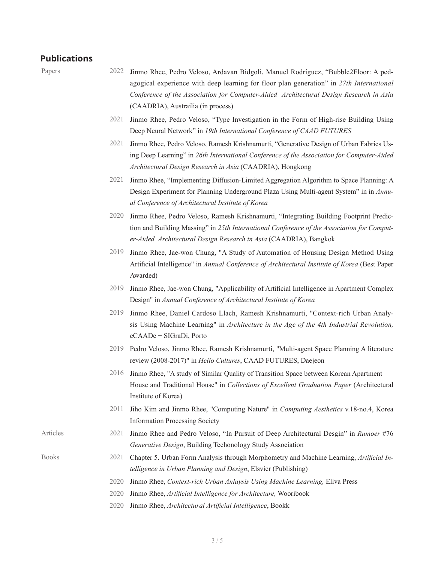#### **Publications**

- Papers 2022 Jinmo Rhee, Pedro Veloso, Ardavan Bidgoli, Manuel Rodríguez, "Bubble2Floor: A pedagogical experience with deep learning for floor plan generation" in *27th International Conference of the Association for Computer-Aided Architectural Design Research in Asia*  (CAADRIA), Austrailia (in process)
	- 2021 Jinmo Rhee, Pedro Veloso, "Type Investigation in the Form of High-rise Building Using Deep Neural Network" in *19th International Conference of CAAD FUTURES*
	- 2021 Jinmo Rhee, Pedro Veloso, Ramesh Krishnamurti, "Generative Design of Urban Fabrics Using Deep Learning" in *26th International Conference of the Association for Computer-Aided Architectural Design Research in Asia* (CAADRIA), Hongkong
	- 2021 Jinmo Rhee, "Implementing Diffusion-Limited Aggregation Algorithm to Space Planning: A Design Experiment for Planning Underground Plaza Using Multi-agent System" in in *Annual Conference of Architectural Institute of Korea*
	- 2020 Jinmo Rhee, Pedro Veloso, Ramesh Krishnamurti, "Integrating Building Footprint Prediction and Building Massing" in *25th International Conference of the Association for Computer-Aided Architectural Design Research in Asia* (CAADRIA), Bangkok
	- 2019 Jinmo Rhee, Jae-won Chung, "A Study of Automation of Housing Design Method Using Artificial Intelligence" in *Annual Conference of Architectural Institute of Korea* (Best Paper Awarded)
	- 2019 Jinmo Rhee, Jae-won Chung, "Applicability of Artificial Intelligence in Apartment Complex Design" in *Annual Conference of Architectural Institute of Korea*
	- 2019 Jinmo Rhee, Daniel Cardoso Llach, Ramesh Krishnamurti, "Context-rich Urban Analysis Using Machine Learning" in *Architecture in the Age of the 4th Industrial Revolution,*  eCAADe + SIGraDi, Porto
	- 2019 Pedro Veloso, Jinmo Rhee, Ramesh Krishnamurti, "Multi-agent Space Planning A literature review (2008-2017)" in *Hello Cultures*, CAAD FUTURES, Daejeon
	- 2016 Jinmo Rhee, "A study of Similar Quality of Transition Space between Korean Apartment House and Traditional House" in *Collections of Excellent Graduation Paper* (Architectural Institute of Korea)
	- 2011 Jiho Kim and Jinmo Rhee, "Computing Nature" in *Computing Aesthetics* v.18-no.4, Korea Information Processing Society
- Articles 2021 Jinmo Rhee and Pedro Veloso, "In Pursuit of Deep Architectural Desgin" in *Rumoer* #76 *Generative Design*, Building Techonology Study Association
- Books 2021 Chapter 5. Urban Form Analysis through Morphometry and Machine Learning, *Artificial Intelligence in Urban Planning and Design*, Elsvier (Publishing)
	- 2020 Jinmo Rhee, *Context-rich Urban Anlaysis Using Machine Learning,* Eliva Press
	- 2020 Jinmo Rhee, *Artificial Intelligence for Architecture,* Wooribook
	- 2020 Jinmo Rhee, *Architectural Artificial Intelligence*, Bookk
		- 3 / 5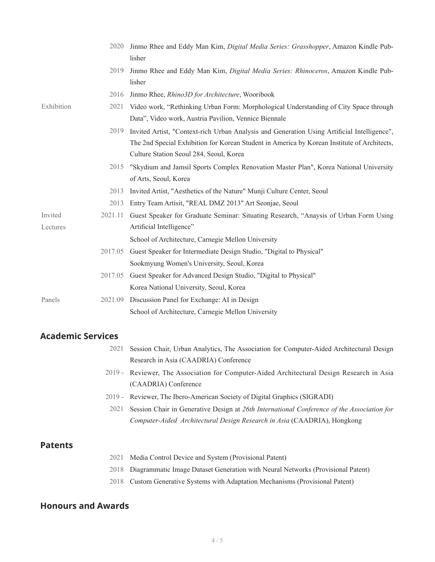|            | 2020    | Jinmo Rhee and Eddy Man Kim, Digital Media Series: Grasshopper, Amazon Kindle Pub-<br>lisher                                                                                                                                          |
|------------|---------|---------------------------------------------------------------------------------------------------------------------------------------------------------------------------------------------------------------------------------------|
|            | 2019    | Jinmo Rhee and Eddy Man Kim, <i>Digital Media Series: Rhinoceros</i> , Amazon Kindle Pub-<br>lisher                                                                                                                                   |
|            | 2016    | Jinmo Rhee, Rhino3D for Architecture, Wooribook                                                                                                                                                                                       |
| Exhibition | 2021    | Video work, "Rethinking Urban Form: Morphological Understanding of City Space through<br>Data", Video work, Austria Pavilion, Vennice Biennale                                                                                        |
|            | 2019    | Invited Artist, "Context-rich Urban Analysis and Generation Using Artificial Intelligence",<br>The 2nd Special Exhibition for Korean Student in America by Korean Institute of Architects,<br>Culture Station Seoul 284, Seoul, Korea |
|            | 2015    | "Skydium and Jamsil Sports Complex Renovation Master Plan", Korea National University<br>of Arts, Seoul, Korea                                                                                                                        |
|            | 2013    | Invited Artist, "Aesthetics of the Nature" Munji Culture Center, Seoul                                                                                                                                                                |
|            | 2013    | Entry Team Artisit, "REAL DMZ 2013" Art Seonjae, Seoul                                                                                                                                                                                |
| Invited    | 2021.11 | Guest Speaker for Graduate Seminar: Situating Research, "Anaysis of Urban Form Using                                                                                                                                                  |
| Lectures   |         | Artificial Intelligence"                                                                                                                                                                                                              |
|            |         | School of Architecture, Carnegie Mellon University                                                                                                                                                                                    |
|            | 2017.05 | Guest Speaker for Intermediate Design Studio, "Digital to Physical"                                                                                                                                                                   |
|            |         | Sookmyung Women's University, Seoul, Korea                                                                                                                                                                                            |
|            | 2017.05 | Guest Speaker for Advanced Design Studio, "Digital to Physical"                                                                                                                                                                       |
|            |         | Korea National University, Seoul, Korea                                                                                                                                                                                               |
| Panels     | 2021.09 | Discussion Panel for Exchange: AI in Design                                                                                                                                                                                           |
|            |         | School of Architecture, Carnegie Mellon University                                                                                                                                                                                    |

### **Academic Services**

- 2021 Session Chair, Urban Analytics, The Association for Computer-Aided Architectural Design Research in Asia (CAADRIA) Conference
- 2019 Reviewer, The Association for Computer-Aided Architectural Design Research in Asia (CAADRIA) Conference
- 2019 Reviewer, The Ibero-American Society of Digital Graphics (SIGRADI)
- 2021 Session Chair in Generative Design at *26th International Conference of the Association for Computer-Aided Architectural Design Research in Asia* (CAADRIA), Hongkong

#### **Patents**

- 2021 Media Control Device and System (Provisional Patent)
- 2018 Diagrammatic Image Dataset Generation with Neural Networks (Provisional Patent)
- 2018 Custom Generative Systems with Adaptation Mechanisms (Provisional Patent)

### **Honours and Awards**